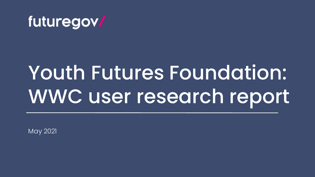

## Youth Futures Foundation: WWC user research report

May 2021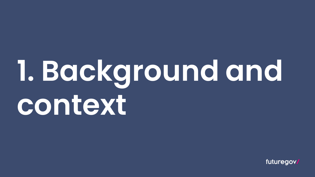## **1. Background and context**

futuregov.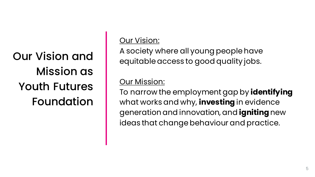Our Vision and Mission as Youth Futures Foundation Our Vision:

A society where all young people have equitable access to good quality jobs.

Our Mission:

To narrow the employment gap by **identifying**  what works and why, **investing** in evidence generation and innovation, and **igniting** new ideas that change behaviour and practice.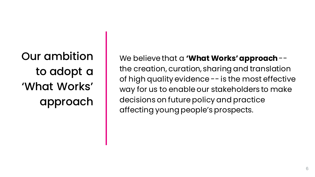Our ambition to adopt a 'What Works' approach

We believe that a **'What Works' approach** - the creation, curation, sharing and translation of high quality evidence -- is the most effective way for us to enable our stakeholders to make decisions on future policy and practice affecting young people's prospects.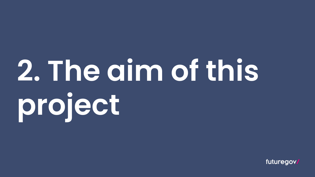# **2. The aim of this project**

futuregov.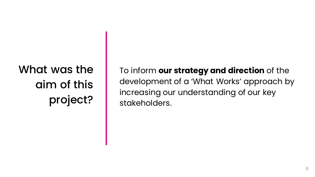## What was the aim of this project?

To inform **our strategy and direction** of the development of a 'What Works' approach by increasing our understanding of our key stakeholders.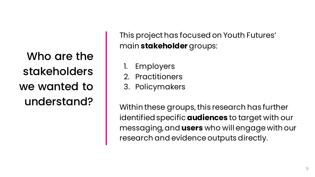Who are the stakeholders we wanted to understand?

This project has focused on Youth Futures' main **stakeholder** groups:

- **Employers**
- 2. Practitioners
- 3. Policymakers

Within these groups, this research has further identified specific **audiences** to target with our messaging, and **users** who will engage with our research and evidence outputs directly.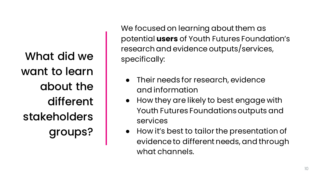What did we want to learn about the different stakeholders groups?

We focused on learning about them as potential **users** of Youth Futures Foundation's research and evidence outputs/services, specifically:

- Their needs for research, evidence and information
- How they are likely to best engage with Youth Futures Foundations outputs and services
- How it's best to tailor the presentation of evidence to different needs, and through what channels.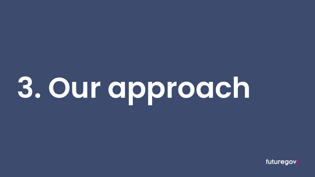# **3. Our approach**

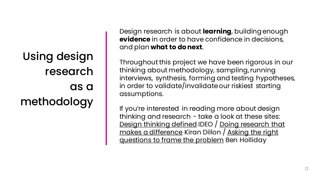Using design research as a methodology

Design research is about **learning**, building enough **evidence** in order to have confidence in decisions, and plan **what to do next**.

Throughout this project we have been rigorous in our thinking about methodology, sampling, running interviews, synthesis, forming and testing hypotheses, in order to validate/invalidate our riskiest starting assumptions.

If you're interested in reading more about design thinking and research - take a look at these sites: [Design thinking defined](https://designthinking.ideo.com/) [IDEO / Doing research that](https://blog.wearefuturegov.com/doing-research-that-makes-a-difference-578f05cba3ff)  makes a difference Kiran Dillon / Asking the right [questions to frame the problem](https://medium.com/leading-service-design/asking-the-right-questions-to-frame-the-problem-4df95a317983) Ben Holliday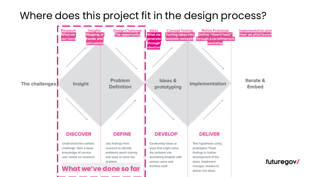### Where does this project fit in the design process?

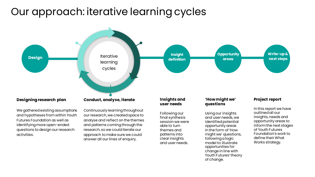## Our approach: iterative learning cycles



We gathered existing assumptions and hypotheses from within Youth Futures Foundation as well as identifying more open-ended questions to design our research activities.

Continuously learning throughout our research, we created space to analyse and reflect on the themes and patterns coming through the research, so we could iterate our approach to make sure we could answer all our lines of enquiry.

Following our final synthesis session we were able to turn themes and patterns into clear insights and user needs.

Using our insights and user needs, we identified potential opportunity areas in the form of 'How might we' questions, following a logic model to illustrate opportunities for change in line with Youth Futures' theory of change.

In this report we have outlined all our insights, needs and opportunity areas to inform the next stages of Youth Futures Foundation's work to define their What Works strategy.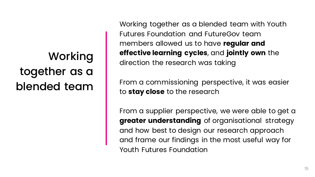Working together as a blended team

Working together as a blended team with Youth Futures Foundation and FutureGov team members allowed us to have **regular and effective learning cycles**, and **jointly own** the direction the research was taking

From a commissioning perspective, it was easier to **stay close** to the research

From a supplier perspective, we were able to get a **greater understanding** of organisational strategy and how best to design our research approach and frame our findings in the most useful way for Youth Futures Foundation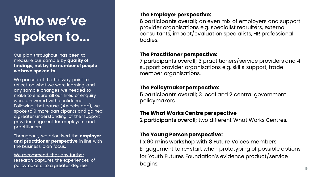## **Who we've spoken to...**

Our plan throughout has been to measure our sample by **quality of findings, not by the number of people we have spoken to**.

We paused at the halfway point to reflect on what we were learning and any sample changes we needed to make to ensure all our lines of enquiry were answered with confidence. Following that pause (4 weeks ago), we spoke to 9 more participants and gained a greater understanding of the 'support provider' segment for employers and practitioners.

Throughout, we prioritised the **employer and practitioner perspective** in line with the business plan focus.

We recommend that any further research captures the experiences of policymakers to a greater degree.

#### **The Employer perspective:**

6 participants overall; an even mix of employers and support provider organisations e.g. specialist recruiters, external consultants, impact/evaluation specialists, HR professional bodies.

#### **The Practitioner perspective:**

7 participants overall; 3 practitioners/service providers and 4 support provider organisations e.g. skills support, trade member organisations.

#### **The Policymaker perspective:**

5 participants overall; 3 local and 2 central government policymakers.

#### **The What Works Centre perspective**

2 participants overall; two different What Works Centres.

#### **The Young Person perspective:**

1 x 90 mins workshop with 8 Future Voices members Engagement to re-start when prototyping of possible options for Youth Futures Foundation's evidence product/service begins.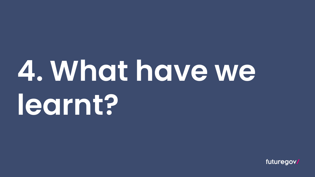## **4. What have we learnt?**

futuregov/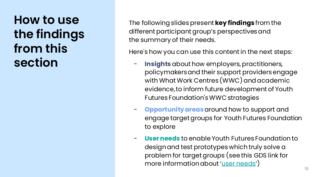**How to use the findings from this section**

The following slides present **key findings** from the different participant group's perspectives and the summary of their needs.

Here's how you can use this content in the next steps:

- **Insights** about how employers, practitioners, policymakers and their support providers engage with What Work Centres (WWC) and academic evidence, to inform future development of Youth Futures Foundation's WWC strategies
- **Opportunity areas**around how to support and engage target groups for Youth Futures Foundation to explore
- **User needs** to enable Youth Futures Foundation to design and test prototypes which truly solve a problem for target groups (see this GDS link for more information about '[user needs](https://www.gov.uk/service-manual/user-research/start-by-learning-user-needs)')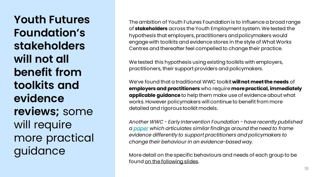**Youth Futures Foundation's stakeholders will not all benefit from toolkits and evidence reviews;** some will require more practical guidance

The ambition of Youth Futures Foundation is to influence a broad range of **stakeholders** across the Youth Employment system. We tested the hypothesis that employers, practitioners and policymakers would engage with toolkits and evidence stores in the style of What Works Centres and thereafter feel compelled to change their practice.

We tested this hypothesis using existing toolkits with employers, practitioners, their support providers and policymakers.

We've found that a traditional WWC toolkit **will not meet the needs** of **employers and practitioners** who require **more practical, immediately applicable guidance** to help them make use of evidence about what works. However policymakers will continue to benefit from more detailed and rigorous toolkit models.

*Another WWC - Early Intervention Foundation - have recently published a [paper](https://www.eif.org.uk/report/supporting-evidence-use-in-policy-and-practice-reflections-for-the-what-works-network) which articulates similar findings around the need to frame evidence differently to support practitioners and policymakers to change their behaviour in an evidence-based way.* 

More detail on the specific behaviours and needs of each group to be found on the following slides.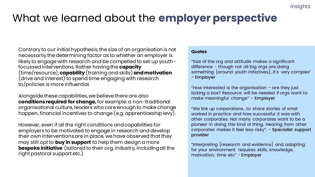#### Insights

### What we learned about the **employer perspective**

Contrary to our initial hypothesis, the size of an organisation is not necessarily the determining factor as to whether an employer is likely to engage with research and be compelled to set up youthfocussed interventions. Rather having the **capacity**  (time/resource),**capability** (training and skills) **and motivation** (drive and interest) to spend time engaging with research to/policies is more influential.

Alongside these capabilities, we believe there are also **conditions required for change,** for example: a non-traditional organisational culture, leaders who care enough to make change happen, financial incentives to change (e.g. apprenticeship levy).

However, even if all the right conditions and capabilities for employers to be motivated to engage in research and develop their own interventions are in place, we have observed that they may still opt to **buy in support** to help them design a more **bespoke initiative** (tailored to their org, industry, including all the right pastoral support etc.)

#### **Quotes**

"Size of the org and attitude makes a significant difference - though not all big orgs are doing something [around youth initiatives]...it's very complex" - Employer

"How interested is the organisation  $-$  are they just ticking a box? Resource will be needed if orgs want to make meaningful change" - Employer

"We link up corporations...to share stories of what worked in practice and how successful it was with other corporates. Not many corporates want to be a pioneer in doing this kind of thing. Hearing from other corporates makes it feel less risky". - Specialist support provider

"Interpreting [research and evidence] and adapting for your environment requires skills, knowledge, motivation, time etc" - Employer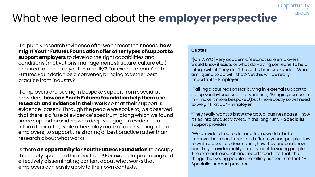## What we learned about the **employer perspective**

If a purely research/evidence offer won't meet their needs, **how might Youth Futures Foundation offer other types of support to support employers** to develop the right capabilities and conditions (motivations, management, structure, culture etc.) required to be more 'youth-friendly'? For example, can Youth Futures Foundation be a convener, bringing together best practice from industry?

If employers are buying in bespoke support from specialist providers, **how can Youth Futures Foundation help them use research and evidence in their work** so that their support is evidence-based? Through the people we spoke to, we observed that there is a 'use of evidence' spectrum, along which we found some support providers who deeply engage in evidence to inform their offer, while others play more of a convening role for employers, to support the sharing of best practice rather than research about what works.

Is there **an opportunity for Youth Futures Foundation** to occupy the empty space on this spectrum? For example, producing and effectively disseminating content about what works that employers can easily apply to their own contexts.

#### **Quotes**

"[On WWC] Very academic feel...not sure employers would know it exists or what do Having someone to help interprwith it. They don't have the time or experts..."What am I going to do with that?". et this will be really important" - Employer

**Opportunity** 

areas

[Talking about reasons for buying in external support to set up youth-focussed interventions] "Bringing someone in - make it more bespoke…(but) more costly so will need to weigh that up" - Employer

"They really want to know the actual business case - how it ties into productivity etc. in the long run"*.* - Specialist support provider

"We provide a free toolkit and framework to better improve their recruitment and offer to young people. How to write a good job description, how they onboard, how can they provide quality employment to young people. The external research and reports feed into that, the things that young people are telling us feed into that." - Specialist support provider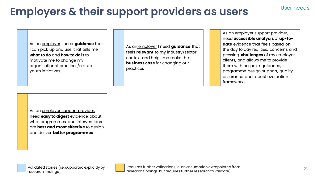#### User needs

## **Employers & their support providers as users**

As an employer I need **guidance** that I can pick up and use, that tells me **what to do** and **how to do it** to motivate me to change my organisational practices/set up youth initiatives.

As an employer I need **guidance** that feels **relevant** to my industry/sector context and helps me make the **business case** for changing our practices

As an employer support provider, I need **accessible analysis** of **up-todate** evidence that feels based on the day to day realities, concerns and pressing **challenges** of my employer clients, and allows me to provide them with bespoke guidance, programme design support, quality assurance and robust evaluation frameworks

As an employer support provider, I need **easy to digest** evidence about what programmes and interventions are **best and most effective** to design and deliver **better programmes**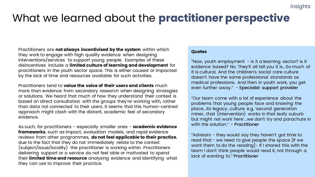## What we learned about the **practitioner perspective**

Practitioners are **not always incentivised by the system** within which they work to engage with high quality evidence when designing interventions/services to support young people. Examples of these disincentives include a **limited culture of learning and development** for practitioners in the youth sector space. This is either caused or impacted by the lack of time and resources available for such activities.

Practitioners tend to **value the voice of their users and clients** much more than evidence from secondary research when designing strategies or solutions. We heard that much of how they understand their context is based on direct consultation with the groups they're working with, rather than data not connected to their users. It seems that this human-centred approach might clash with the distant, academic feel of secondary evidence.

As such, for practitioners - especially smaller ones - **academic evidence frameworks**, such as impact, evaluation models, and rapid evidence reviews from other programmes, **do not feel applicable to their practice**, due to the fact that they do not immediately relate to the context (subject/issue/locality) the practitioner is working within. Practitioners delivering support or a service do not feel able or motivated to spend their **limited time and resource** analysing evidence and identifying what they can use to improve their practice.

#### **Quotes**

"Now, youth employment  $-$  is it a learning sector? Is it evidence based? No. They'll all tell you it is...So much of it is cultural. And the children's social care culture doesn't have the same professional standards as medical professions. And then in youth work, you get even further away." - Specialist support provider

"Our team come with a lot of experience about the problems that young people face and knowing the place...its legacy...culture e.g. 'second generation miner...that (intervention) works in that leafy suburb but might not work here'...we don't try and parachute in with the solution." - Practitioner

"Advisors - they would say they haven't got time to read that - we need to give people the space [if we want them to do the reading - If I shared this with the team I don't think people would read it, not through a lack of wanting to." Practitioner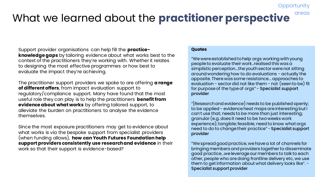#### What we learned about the **practitioner perspective** areas

Support provider organisations can help fill the **practiceknowledge gaps** by tailoring evidence about what works best to the context of the practitioners they're working with. Whether it relates to designing the most effective programmes or how best to evaluate the impact they're achieving.

The practitioner support providers we spoke to are offering **a range of different offers**, from impact evaluation support to regulatory/compliance support. Many have found that the most useful role they can play is to help the practitioners **benefit from evidence about what works** by offering tailored support, to alleviate the burden on practitioners to analyse the evidence themselves.

Since the most exposure practitioners may get to evidence about what works is via the bespoke support from specialist providers (when funding allows), **how can Youth Futures Foundation help support providers consistently use research and evidence** in their work so that their support is evidence-based?

#### **Quotes**

"We were established to help orgs working with young people to evaluate their work..realised this was a simplistic perception...the youth sector were not sitting around wondering how to do evaluations - actually the opposite. There was some resistance... approaches to evaluation - sector did not like them - not (seen to be) fit for purpose of the type of orgs" - Specialist support provider

**Opportunity** 

"[Research and evidence] needs to be published openly; to be applied - evidence heat maps are interesting but I can't use that; needs to be more than just interesting; granular (e.g. does it need to be *two*weeks work experience); tangible; feasible; need to know what orgs need to do to change their practice" -Specialist support provider

"We spread good practice, we have a lot of channels for bringing members and providers together to disseminate good practice...we leverage our members to talk to each other, people who are doing frontline delivery etc, we use them to get information about what delivery looks like". - Specialist support provider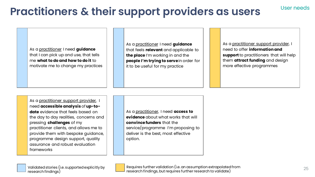## **Practitioners & their support providers as users**

As a practitioner I need **guidance**  that I can pick up and use, that tells me **what to do and how to do it** to motivate me to change my practices As a practitioner I need **guidance** that feels **relevant** and applicable to **the place** I'm working in and the **people I'm trying to serve** in order for it to be useful for my practice

As a practitioner support provider, I need to offer **information and support** to practitioners that will help them **attract funding** and design more effective programmes

As a practitioner support provider, I need **accessible analysis** of **up-todate** evidence that feels based on the day to day realities, concerns and pressing **challenges** of my practitioner clients, and allows me to provide them with bespoke guidance, programme design support, quality assurance and robust evaluation frameworks

As a practitioner, I need **access to evidence** about what works that will **convince funders** that the service/programme I'm proposing to deliver is the best, most effective option.



Requires further validation (i.e. an assumption extrapolated from research findings, but requires further research to validate)

User needs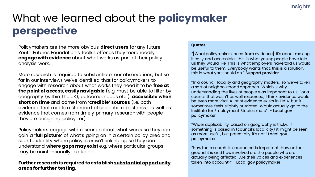## What we learned about the **policymaker perspective**

Policymakers are the more obvious **direct users** for any future Youth Futures Foundation's toolkit offer as they more readily **engage with evidence** about what works as part of their policy analysis work.

More research is required to substantiate our observations, but so far in our interviews we've identified that for policymakers to engage with research about what works they need it to be **free at the point of access**, **easily navigable** (e.g. must be able to filter by geography (within the UK), outcome, needs etc.); **accessible when short on time** and come from **'credible' sources** (i.e. both evidence that meets a standard of scientific robustness, as well as evidence that comes from timely primary research with people they are designing policy for).

Policymakers engage with research about what works so they can gain a **'full picture'** of what's going on in a certain policy area and seek to identify where policy is or isn't linking up so they can understand **where gaps may exist** e.g. where particular groups may be unintentionally excluded.

#### **Further research is required to establish substantial opportunity areas for further testing**.

#### **Quotes**

"[What policymakers need from evidence] It's about making it easy and accessible...this is what young people have told us they would like. This is what employers have told us would be useful to them. Everybody wants that, this is a solution, this is what you should do." Support provider

"In a council, locality and geography matters, so we've taken a sort of neighbourhood approach. Which is why understanding the lives of people was important to us. For a council that wasn't as well resourced, I think evidence would be even more vital. A lot of evidence exists in ERSA, but it sometimes feels slightly outdated. Would actually go to the Institute for Employment Studies more". - Local gov policymaker

"Wider applicability based on geography is tricky. If something is based in (council's local city) it might be seen as more useful, but potentially it's not." Local gov policymaker

"How the research is conducted is important. How on the ground it is and how involved are the people who are actually being affected. Are their voices and experiences taken into account?" - Local gov policymaker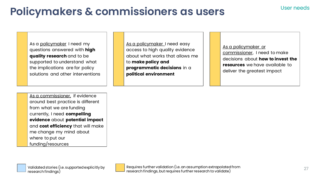## **Policymakers & commissioners as users**

As a policymaker I need my questions answered with **high quality research** and to be supported to understand what the implications are for policy solutions and other interventions

As a commissioner, if evidence around best practice is different from what we are funding currently, I need **compelling evidence** about **potential impact** and **cost efficiency** that will make me change my mind about where to put our funding/resources

As a policymaker I need easy access to high quality evidence about what works that allows me to **make policy and programmatic decisions** in a **political environment**

As a policymaker or commissioner, I need to make decisions about **how to invest the resources** we have available to deliver the greatest impact

User needs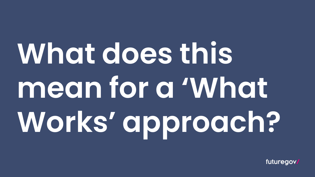## **What does this mean for a 'What Works' approach?**

futuregov.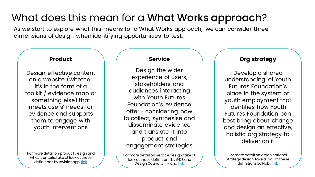## What does this mean for a What Works approach?

As we start to explore what this means for a What Works approach, we can consider three dimensions of design when identifying opportunities to test.

#### **Product**

Design effective content on a website (whether it's in the form of a toolkit / evidence map or something else) that meets users' needs for evidence and supports them to engage with youth interventions

For more detail on product design and what it entails, take at look at these definitions by Invisionapp: [link](https://www.invisionapp.com/inside-design/product-design/)

#### **Service**

Design the wider experience of users, stakeholders and audiences interacting with Youth Futures Foundation's evidence offer - considering how to collect, synthesise and disseminate evidence and translate it into product and engagement strategies

For more detail on service design, take at look at these definitions by GDS and Design Council: [link](https://www.designcouncil.org.uk/news-opinion/video-what-service-design) and link

#### **Org strategy**

Develop a shared understanding of Youth Futures Foundation's place in the system of youth employment that identifies how Youth Futures Foundation can best bring about change and design an effective, holistic org strategy to deliver on it

For more detail on organisational strategy design, take a look at these definitions by Nobl: [link](https://nobl.io/organizational-design)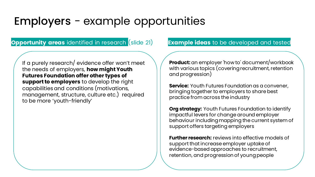## Employers - example opportunities

### **Opportunity areas** identified in research *(slide 21)* Example ideas to be developed and tested

If a purely research/ evidence offer won't meet the needs of employers, **how might Youth Futures Foundation offer other types of support to employers** to develop the right capabilities and conditions (motivations, management, structure, culture etc.) required to be more 'youth-friendly'

**Product:** an employer 'how to' document/workbook with various topics (covering recruitment, retention and progression)

**Service:** Youth Futures Foundation as a convener, bringing together to employers to share best practice from across the industry

**Org strategy:** Youth Futures Foundation to identify impactful levers for change around employer behaviour including mapping the current system of support offers targeting employers

**Further research:** reviews into effective models of support that increase employer uptake of evidence-based approaches to recruitment, retention, and progression of young people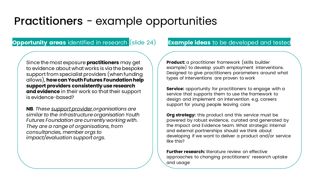## Practitioners - example opportunities

### **Opportunity areas** identified in research (slide 24) **Example ideas** to be developed and tested

Since the most exposure **practitioners** may get to evidence about what works is via the bespoke support from specialist providers (when funding allows), **how can Youth Futures Foundation help support providers consistently use research and evidence** in their work so that their support is evidence-based?

**NB**. *These support provider organisations are similar to the infrastructure organisation Youth Futures Foundation are currently working with. They are a range of organisations, from consultancies, member orgs to impact/evaluation support orgs.* 

**Product:** a practitioner framework (skills builder example) to develop youth employment interventions. Designed to give practitioners parameters around what types of interventions are proven to work

**Service:** opportunity for practitioners to engage with a service that supports them to use the framework to design and implement an intervention e.g. careers support for young people leaving care

**Org strategy:** this product and this service must be powered by robust evidence, curated and generated by the Impact and Evidence team. What strategic internal and external partnerships should we think about developing if we want to deliver a product and/or service like this?

**Further research:** literature review on effective approaches to changing practitioners' research uptake and usage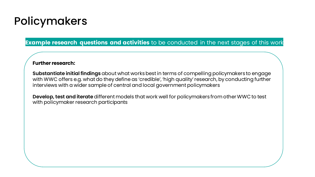## Policymakers

**Example research questions and activities** to be conducted in the next stages of this work

#### **Further research:**

**Substantiate initial findings** about what works best in terms of compelling policymakers to engage with WWC offers e.g. what do they define as 'credible', 'high quality' research, by conducting further interviews with a wider sample of central and local government policymakers

**Develop, test and iterate** different models that work well for policymakers from other WWC to test with policymaker research participants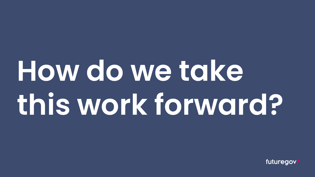## **How do we take this work forward?**

futuregov.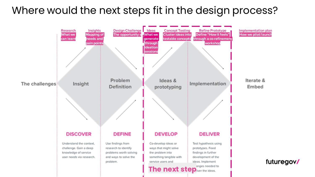### Where would the next steps fit in the design process?

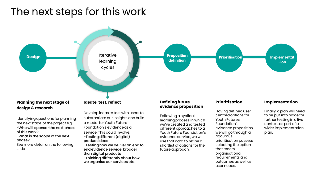### The next steps for this work



Identifying questions for planning the next stage of the project e.g.: -Who will sponsor the next phase of this work? -What is the scope of the next phase? See more detail on the following slide

Develop ideas to test with users to substantiate our insights and build a model for Youth Future Foundation's evidence as a service. This could involve: -Testing different (digital)

product ideas

-Testing how we deliver an end to end evidence service, broader than digital products

-Thinking differently about how we organise our services etc.

### **evidence proposition**

Following a cyclical learning process in which we've created and tested different approaches to a Youth Future Foundation's evidence service, we will use that data to refine a shortlist of options for the future approach.

Having defined usercentred options for Youth Futures Foundation's evidence proposition, we will go through a rigourous prioritisation possess, selecting the option that meets organisational requirements and outcomes as well as user needs.

Finally, a plan will need to be put into place for further testing in a live context, as part of a wider implementation plan.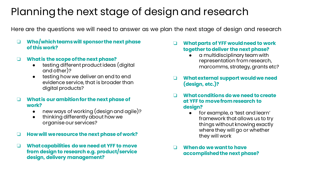## Planning the next stage of design and research

Here are the questions we will need to answer as we plan the next stage of design and research

❏ **Who/which teams will sponsor the next phase of this work?**

#### ❏ **What is the scope of the next phase?**

- testing different product ideas (digital and other)?
- testing how we deliver an end to end evidence service, that is broader than digital products?
- ❏ **What is our ambition for the next phase of work?**
	- new ways of working (design and agile)?
	- thinking differently about how we organise our services?
- ❏ **How will we resource the next phase of work?**
- ❏ **What capabilities do we need at YFF to move from design to research e.g. product/service design, delivery management?**
- ❏ **What parts of YFF would need to work together to deliver the next phase?**
	- a multidisciplinary team with representation from research, marcomms, strategy, grants etc?
- ❏ **What external support would we need (design, etc.)?**
- ❏ **What conditions do we need to create at YFF to move from research to design?**
	- for example, a 'test and learn' framework that allows us to try things without knowing exactly where they will go or whether they will work
- ❏ **When do we want to have accomplished the next phase?**